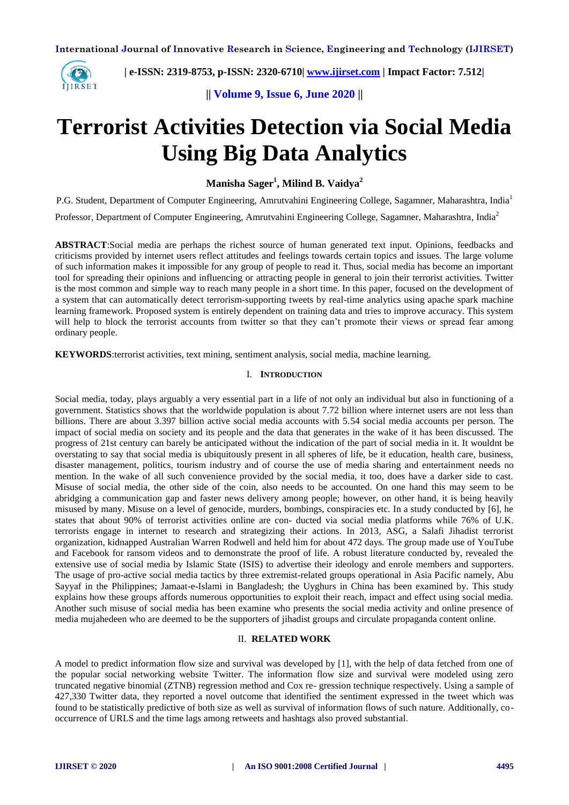

 **| e-ISSN: 2319-8753, p-ISSN: 2320-6710| [www.ijirset.com](http://www.ijirset.com/) | Impact Factor: 7.512|**

**|| Volume 9, Issue 6, June 2020 ||** 

# **Terrorist Activities Detection via Social Media Using Big Data Analytics**

**Manisha Sager<sup>1</sup> , Milind B. Vaidya<sup>2</sup>**

P.G. Student, Department of Computer Engineering, Amrutvahini Engineering College, Sagamner, Maharashtra, India<sup>1</sup> Professor, Department of Computer Engineering, Amrutvahini Engineering College, Sagamner, Maharashtra, India<sup>2</sup>

**ABSTRACT**:Social media are perhaps the richest source of human generated text input. Opinions, feedbacks and criticisms provided by internet users reflect attitudes and feelings towards certain topics and issues. The large volume of such information makes it impossible for any group of people to read it. Thus, social media has become an important tool for spreading their opinions and influencing or attracting people in general to join their terrorist activities. Twitter is the most common and simple way to reach many people in a short time. In this paper, focused on the development of a system that can automatically detect terrorism-supporting tweets by real-time analytics using apache spark machine learning framework. Proposed system is entirely dependent on training data and tries to improve accuracy. This system will help to block the terrorist accounts from twitter so that they can't promote their views or spread fear among ordinary people.

**KEYWORDS**:terrorist activities, text mining, sentiment analysis, social media, machine learning.

#### I. **INTRODUCTION**

Social media, today, plays arguably a very essential part in a life of not only an individual but also in functioning of a government. Statistics shows that the worldwide population is about 7.72 billion where internet users are not less than billions. There are about 3.397 billion active social media accounts with 5.54 social media accounts per person. The impact of social media on society and its people and the data that generates in the wake of it has been discussed. The progress of 21st century can barely be anticipated without the indication of the part of social media in it. It wouldnt be overstating to say that social media is ubiquitously present in all spheres of life, be it education, health care, business, disaster management, politics, tourism industry and of course the use of media sharing and entertainment needs no mention. In the wake of all such convenience provided by the social media, it too, does have a darker side to cast. Misuse of social media, the other side of the coin, also needs to be accounted. On one hand this may seem to be abridging a communication gap and faster news delivery among people; however, on other hand, it is being heavily misused by many. Misuse on a level of genocide, murders, bombings, conspiracies etc. In a study conducted by [6], he states that about 90% of terrorist activities online are con- ducted via social media platforms while 76% of U.K. terrorists engage in internet to research and strategizing their actions. In 2013, ASG, a Salafi Jihadist terrorist organization, kidnapped Australian Warren Rodwell and held him for about 472 days. The group made use of YouTube and Facebook for ransom videos and to demonstrate the proof of life. A robust literature conducted by, revealed the extensive use of social media by Islamic State (ISIS) to advertise their ideology and enrole members and supporters. The usage of pro-active social media tactics by three extremist-related groups operational in Asia Pacific namely, Abu Sayyaf in the Philippines; Jamaat-e-Islami in Bangladesh; the Uyghurs in China has been examined by. This study explains how these groups affords numerous opportunities to exploit their reach, impact and effect using social media. Another such misuse of social media has been examine who presents the social media activity and online presence of media mujahedeen who are deemed to be the supporters of jihadist groups and circulate propaganda content online.

## II. **RELATED WORK**

A model to predict information flow size and survival was developed by [1], with the help of data fetched from one of the popular social networking website Twitter. The information flow size and survival were modeled using zero truncated negative binomial (ZTNB) regression method and Cox re- gression technique respectively. Using a sample of 427,330 Twitter data, they reported a novel outcome that identified the sentiment expressed in the tweet which was found to be statistically predictive of both size as well as survival of information flows of such nature. Additionally, cooccurrence of URLS and the time lags among retweets and hashtags also proved substantial.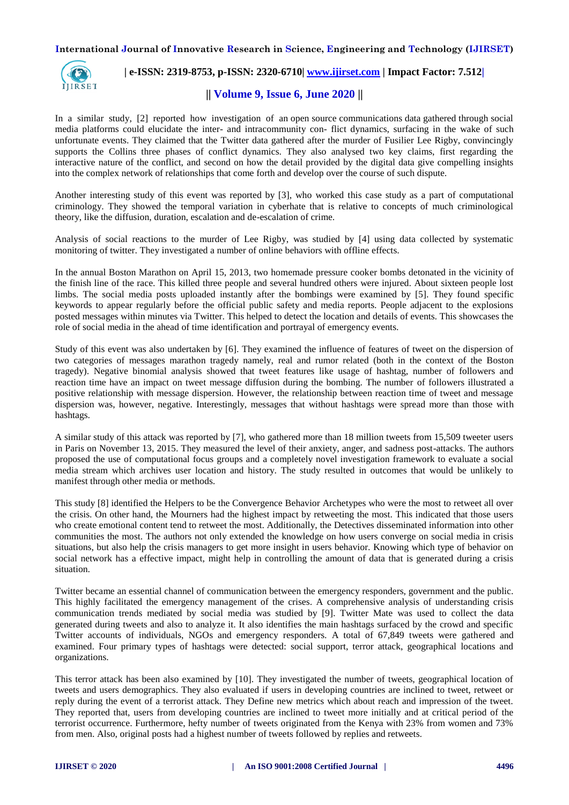

# **| e-ISSN: 2319-8753, p-ISSN: 2320-6710| [www.ijirset.com](http://www.ijirset.com/) | Impact Factor: 7.512|**

# **|| Volume 9, Issue 6, June 2020 ||**

In a similar study, [2] reported how investigation of an open source communications data gathered through social media platforms could elucidate the inter- and intracommunity con- flict dynamics, surfacing in the wake of such unfortunate events. They claimed that the Twitter data gathered after the murder of Fusilier Lee Rigby, convincingly supports the Collins three phases of conflict dynamics. They also analysed two key claims, first regarding the interactive nature of the conflict, and second on how the detail provided by the digital data give compelling insights into the complex network of relationships that come forth and develop over the course of such dispute.

Another interesting study of this event was reported by [3], who worked this case study as a part of computational criminology. They showed the temporal variation in cyberhate that is relative to concepts of much criminological theory, like the diffusion, duration, escalation and de-escalation of crime.

Analysis of social reactions to the murder of Lee Rigby, was studied by [4] using data collected by systematic monitoring of twitter. They investigated a number of online behaviors with offline effects.

In the annual Boston Marathon on April 15, 2013, two homemade pressure cooker bombs detonated in the vicinity of the finish line of the race. This killed three people and several hundred others were injured. About sixteen people lost limbs. The social media posts uploaded instantly after the bombings were examined by [5]. They found specific keywords to appear regularly before the official public safety and media reports. People adjacent to the explosions posted messages within minutes via Twitter. This helped to detect the location and details of events. This showcases the role of social media in the ahead of time identification and portrayal of emergency events.

Study of this event was also undertaken by [6]. They examined the influence of features of tweet on the dispersion of two categories of messages marathon tragedy namely, real and rumor related (both in the context of the Boston tragedy). Negative binomial analysis showed that tweet features like usage of hashtag, number of followers and reaction time have an impact on tweet message diffusion during the bombing. The number of followers illustrated a positive relationship with message dispersion. However, the relationship between reaction time of tweet and message dispersion was, however, negative. Interestingly, messages that without hashtags were spread more than those with hashtags.

A similar study of this attack was reported by [7], who gathered more than 18 million tweets from 15,509 tweeter users in Paris on November 13, 2015. They measured the level of their anxiety, anger, and sadness post-attacks. The authors proposed the use of computational focus groups and a completely novel investigation framework to evaluate a social media stream which archives user location and history. The study resulted in outcomes that would be unlikely to manifest through other media or methods.

This study [8] identified the Helpers to be the Convergence Behavior Archetypes who were the most to retweet all over the crisis. On other hand, the Mourners had the highest impact by retweeting the most. This indicated that those users who create emotional content tend to retweet the most. Additionally, the Detectives disseminated information into other communities the most. The authors not only extended the knowledge on how users converge on social media in crisis situations, but also help the crisis managers to get more insight in users behavior. Knowing which type of behavior on social network has a effective impact, might help in controlling the amount of data that is generated during a crisis situation.

Twitter became an essential channel of communication between the emergency responders, government and the public. This highly facilitated the emergency management of the crises. A comprehensive analysis of understanding crisis communication trends mediated by social media was studied by [9]. Twitter Mate was used to collect the data generated during tweets and also to analyze it. It also identifies the main hashtags surfaced by the crowd and specific Twitter accounts of individuals, NGOs and emergency responders. A total of 67,849 tweets were gathered and examined. Four primary types of hashtags were detected: social support, terror attack, geographical locations and organizations.

This terror attack has been also examined by [10]. They investigated the number of tweets, geographical location of tweets and users demographics. They also evaluated if users in developing countries are inclined to tweet, retweet or reply during the event of a terrorist attack. They Define new metrics which about reach and impression of the tweet. They reported that, users from developing countries are inclined to tweet more initially and at critical period of the terrorist occurrence. Furthermore, hefty number of tweets originated from the Kenya with 23% from women and 73% from men. Also, original posts had a highest number of tweets followed by replies and retweets.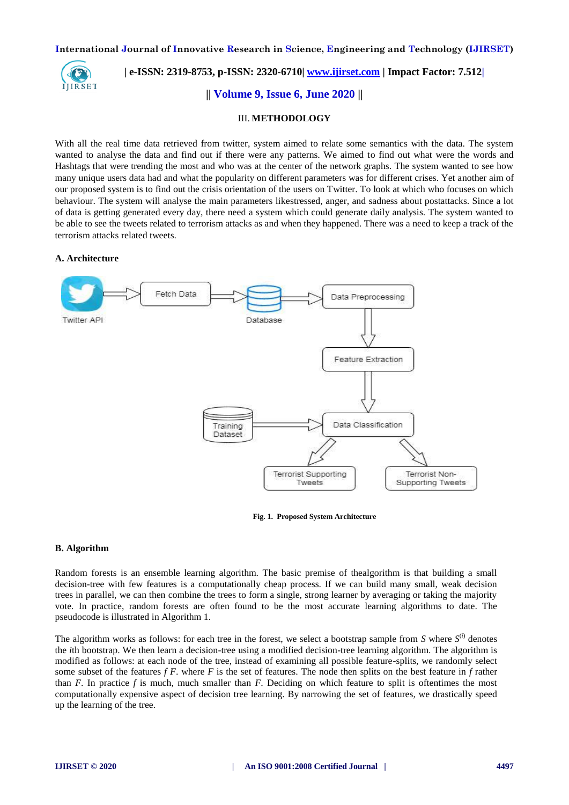

 **| e-ISSN: 2319-8753, p-ISSN: 2320-6710| [www.ijirset.com](http://www.ijirset.com/) | Impact Factor: 7.512|**

# **|| Volume 9, Issue 6, June 2020 ||**

#### III. **METHODOLOGY**

With all the real time data retrieved from twitter, system aimed to relate some semantics with the data. The system wanted to analyse the data and find out if there were any patterns. We aimed to find out what were the words and Hashtags that were trending the most and who was at the center of the network graphs. The system wanted to see how many unique users data had and what the popularity on different parameters was for different crises. Yet another aim of our proposed system is to find out the crisis orientation of the users on Twitter. To look at which who focuses on which behaviour. The system will analyse the main parameters likestressed, anger, and sadness about postattacks. Since a lot of data is getting generated every day, there need a system which could generate daily analysis. The system wanted to be able to see the tweets related to terrorism attacks as and when they happened. There was a need to keep a track of the terrorism attacks related tweets.

## **A. Architecture**



**Fig. 1. Proposed System Architecture**

#### **B. Algorithm**

Random forests is an ensemble learning algorithm. The basic premise of thealgorithm is that building a small decision-tree with few features is a computationally cheap process. If we can build many small, weak decision trees in parallel, we can then combine the trees to form a single, strong learner by averaging or taking the majority vote. In practice, random forests are often found to be the most accurate learning algorithms to date. The pseudocode is illustrated in Algorithm 1.

The algorithm works as follows: for each tree in the forest, we select a bootstrap sample from *S* where *S* (*i*) denotes the *i*th bootstrap. We then learn a decision-tree using a modified decision-tree learning algorithm. The algorithm is modified as follows: at each node of the tree, instead of examining all possible feature-splits, we randomly select some subset of the features *f F*. where *F* is the set of features. The node then splits on the best feature in *f* rather than  $F$ . In practice  $f$  is much, much smaller than  $F$ . Deciding on which feature to split is oftentimes the most computationally expensive aspect of decision tree learning. By narrowing the set of features, we drastically speed up the learning of the tree.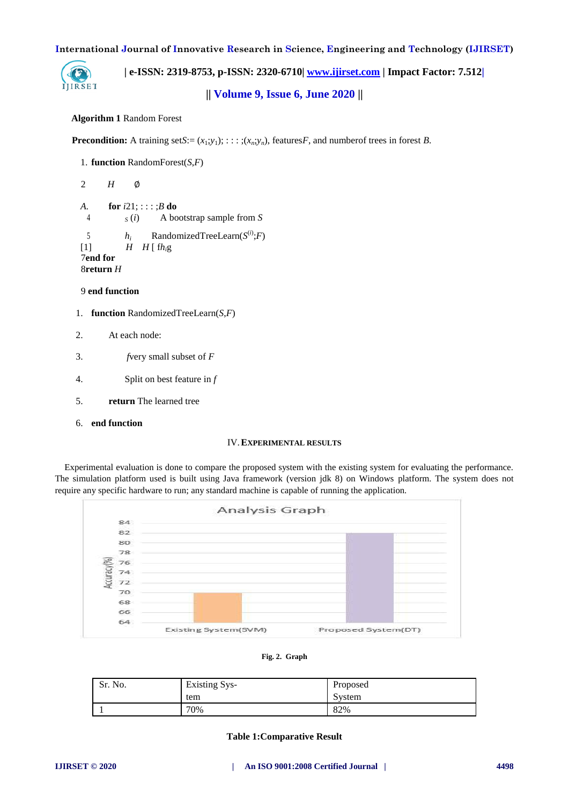

 **| e-ISSN: 2319-8753, p-ISSN: 2320-6710| [www.ijirset.com](http://www.ijirset.com/) | Impact Factor: 7.512|**

**|| Volume 9, Issue 6, June 2020 ||** 

## **Algorithm 1** Random Forest

**Precondition:** A training set  $S:=(x_1,y_1); \ldots; (x_n,y_n)$ , features *F*, and number of trees in forest *B*.

```
1. function RandomForest(S,F)
2 H ∅
A. for i21; : : : ;B do
 4 S (i) A bootstrap sample from S
 5 h_i RandomizedTreeLearn(S^{(i)};F)
H \ H [fh, g]7end for
8return H
```
# 9 **end function**

- 1. **function** RandomizedTreeLearn(*S*,*F*)
- 2. At each node:
- 3. *f*very small subset of *F*
- 4. Split on best feature in *f*
- 5. **return** The learned tree
- 6. **end function**

## IV.**EXPERIMENTAL RESULTS**

Experimental evaluation is done to compare the proposed system with the existing system for evaluating the performance. The simulation platform used is built using Java framework (version jdk 8) on Windows platform. The system does not require any specific hardware to run; any standard machine is capable of running the application.





| Sr. No. | <b>Existing Sys-</b> | Proposed |
|---------|----------------------|----------|
|         | tem                  | System   |
|         | 70%                  | 82%      |

## **Table 1:Comparative Result**